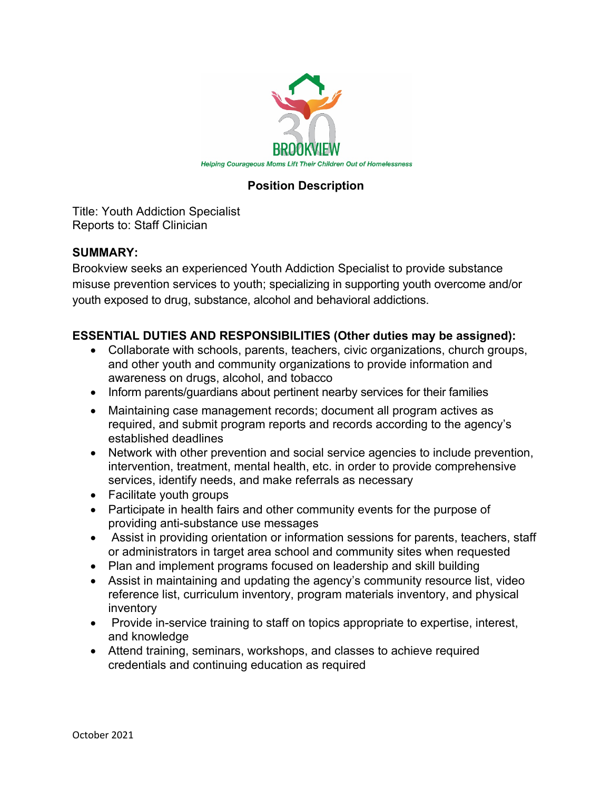

## **Position Description**

Title: Youth Addiction Specialist Reports to: Staff Clinician

## **SUMMARY:**

Brookview seeks an experienced Youth Addiction Specialist to provide substance misuse prevention services to youth; specializing in supporting youth overcome and/or youth exposed to drug, substance, alcohol and behavioral addictions.

## **ESSENTIAL DUTIES AND RESPONSIBILITIES (Other duties may be assigned):**

- Collaborate with schools, parents, teachers, civic organizations, church groups, and other youth and community organizations to provide information and awareness on drugs, alcohol, and tobacco
- Inform parents/guardians about pertinent nearby services for their families
- Maintaining case management records; document all program actives as required, and submit program reports and records according to the agency's established deadlines
- Network with other prevention and social service agencies to include prevention, intervention, treatment, mental health, etc. in order to provide comprehensive services, identify needs, and make referrals as necessary
- Facilitate youth groups
- Participate in health fairs and other community events for the purpose of providing anti-substance use messages
- Assist in providing orientation or information sessions for parents, teachers, staff or administrators in target area school and community sites when requested
- Plan and implement programs focused on leadership and skill building
- Assist in maintaining and updating the agency's community resource list, video reference list, curriculum inventory, program materials inventory, and physical inventory
- Provide in-service training to staff on topics appropriate to expertise, interest, and knowledge
- Attend training, seminars, workshops, and classes to achieve required credentials and continuing education as required